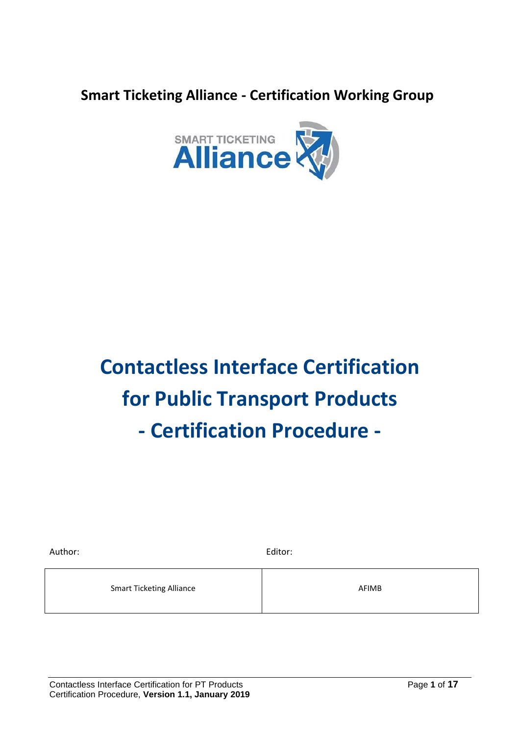**Smart Ticketing Alliance - Certification Working Group**



# **Contactless Interface Certification for Public Transport Products - Certification Procedure -**

Author: Editor: Editor: Editor: Editor: Editor: Editor: Editor: Editor: Editor: Editor: Editor: Editor: Editor Smart Ticketing Alliance **AFIMB** 

#### Contactless Interface Certification for PT Products Page **1** of **17** Certification Procedure, **Version 1.1, January 2019**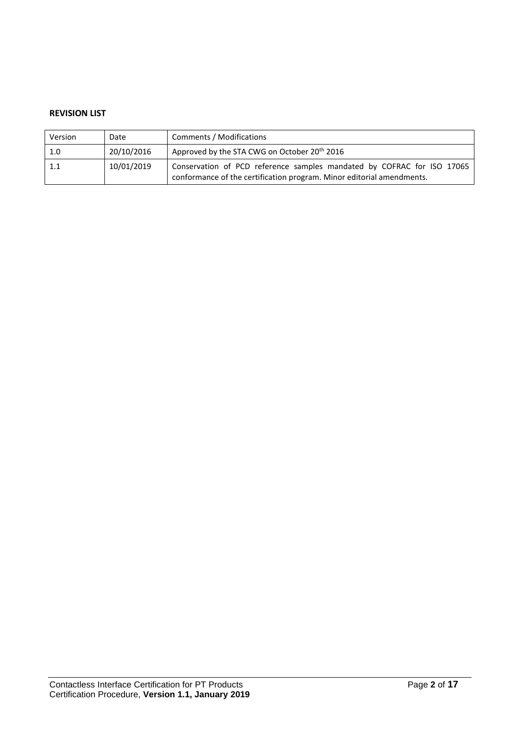#### **REVISION LIST**

| Version | Date       | Comments / Modifications                                                                                                                        |
|---------|------------|-------------------------------------------------------------------------------------------------------------------------------------------------|
| 1.0     | 20/10/2016 | Approved by the STA CWG on October 20 <sup>th</sup> 2016                                                                                        |
| 1.1     | 10/01/2019 | Conservation of PCD reference samples mandated by COFRAC for ISO 17065<br>conformance of the certification program. Minor editorial amendments. |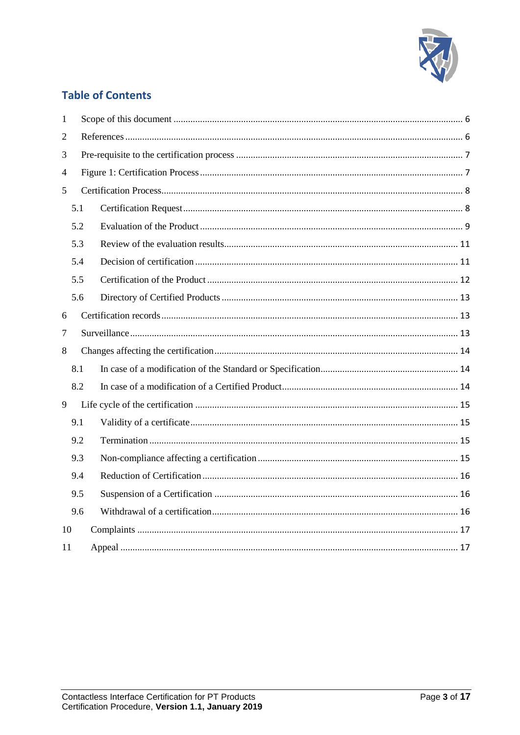

# **Table of Contents**

| $\mathbf{1}$ |     |  |  |  |  |
|--------------|-----|--|--|--|--|
| 2            |     |  |  |  |  |
| 3            |     |  |  |  |  |
| 4            |     |  |  |  |  |
| 5            |     |  |  |  |  |
|              | 5.1 |  |  |  |  |
|              | 5.2 |  |  |  |  |
|              | 5.3 |  |  |  |  |
|              | 5.4 |  |  |  |  |
|              | 5.5 |  |  |  |  |
|              | 5.6 |  |  |  |  |
| 6            |     |  |  |  |  |
| 7            |     |  |  |  |  |
| 8            |     |  |  |  |  |
|              | 8.1 |  |  |  |  |
|              | 8.2 |  |  |  |  |
| 9            |     |  |  |  |  |
|              | 9.1 |  |  |  |  |
|              | 9.2 |  |  |  |  |
|              | 9.3 |  |  |  |  |
|              | 9.4 |  |  |  |  |
|              | 9.5 |  |  |  |  |
|              | 9.6 |  |  |  |  |
| 10           |     |  |  |  |  |
| 11           |     |  |  |  |  |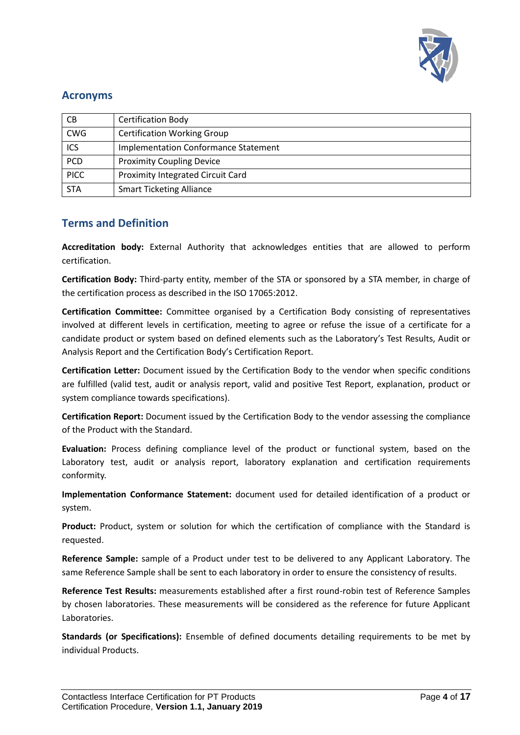

#### **Acronyms**

| CВ          | <b>Certification Body</b>                   |  |
|-------------|---------------------------------------------|--|
| <b>CWG</b>  | <b>Certification Working Group</b>          |  |
| ICS         | <b>Implementation Conformance Statement</b> |  |
| <b>PCD</b>  | <b>Proximity Coupling Device</b>            |  |
| <b>PICC</b> | <b>Proximity Integrated Circuit Card</b>    |  |
| <b>STA</b>  | <b>Smart Ticketing Alliance</b>             |  |

#### **Terms and Definition**

**Accreditation body:** External Authority that acknowledges entities that are allowed to perform certification.

**Certification Body:** Third-party entity, member of the STA or sponsored by a STA member, in charge of the certification process as described in the ISO 17065:2012.

**Certification Committee:** Committee organised by a Certification Body consisting of representatives involved at different levels in certification, meeting to agree or refuse the issue of a certificate for a candidate product or system based on defined elements such as the Laboratory's Test Results, Audit or Analysis Report and the Certification Body's Certification Report.

**Certification Letter:** Document issued by the Certification Body to the vendor when specific conditions are fulfilled (valid test, audit or analysis report, valid and positive Test Report, explanation, product or system compliance towards specifications).

**Certification Report:** Document issued by the Certification Body to the vendor assessing the compliance of the Product with the Standard.

**Evaluation:** Process defining compliance level of the product or functional system, based on the Laboratory test, audit or analysis report, laboratory explanation and certification requirements conformity.

**Implementation Conformance Statement:** document used for detailed identification of a product or system.

**Product:** Product, system or solution for which the certification of compliance with the Standard is requested.

**Reference Sample:** sample of a Product under test to be delivered to any Applicant Laboratory. The same Reference Sample shall be sent to each laboratory in order to ensure the consistency of results.

**Reference Test Results:** measurements established after a first round-robin test of Reference Samples by chosen laboratories. These measurements will be considered as the reference for future Applicant Laboratories.

**Standards (or Specifications):** Ensemble of defined documents detailing requirements to be met by individual Products.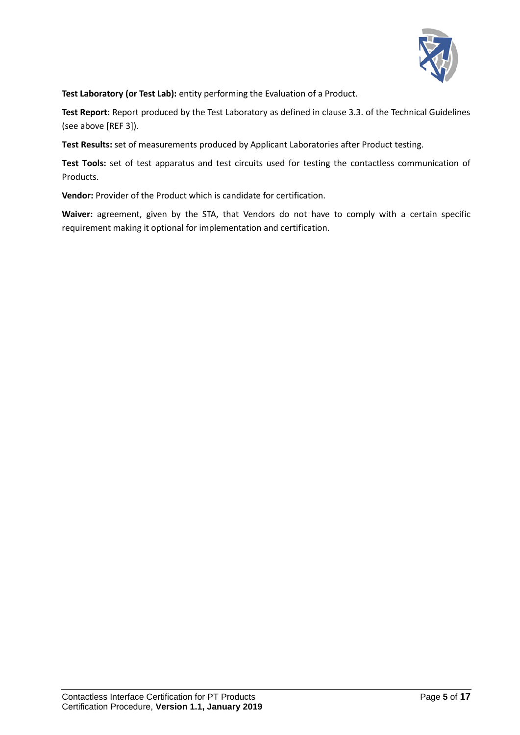

**Test Laboratory (or Test Lab):** entity performing the Evaluation of a Product.

**Test Report:** Report produced by the Test Laboratory as defined in clause 3.3. of the Technical Guidelines (see above [REF 3]).

**Test Results:** set of measurements produced by Applicant Laboratories after Product testing.

**Test Tools:** set of test apparatus and test circuits used for testing the contactless communication of Products.

**Vendor:** Provider of the Product which is candidate for certification.

**Waiver:** agreement, given by the STA, that Vendors do not have to comply with a certain specific requirement making it optional for implementation and certification.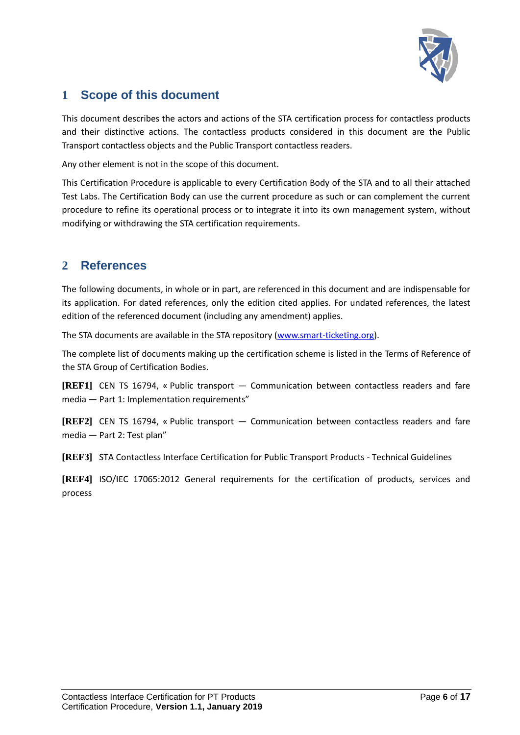

#### <span id="page-5-0"></span>**1 Scope of this document**

This document describes the actors and actions of the STA certification process for contactless products and their distinctive actions. The contactless products considered in this document are the Public Transport contactless objects and the Public Transport contactless readers.

Any other element is not in the scope of this document.

This Certification Procedure is applicable to every Certification Body of the STA and to all their attached Test Labs. The Certification Body can use the current procedure as such or can complement the current procedure to refine its operational process or to integrate it into its own management system, without modifying or withdrawing the STA certification requirements.

#### <span id="page-5-1"></span>**2 References**

The following documents, in whole or in part, are referenced in this document and are indispensable for its application. For dated references, only the edition cited applies. For undated references, the latest edition of the referenced document (including any amendment) applies.

The STA documents are available in the STA repository (www.smart-[ticketing.org\)](http://www.smart-ticketing.org/).

The complete list of documents making up the certification scheme is listed in the Terms of Reference of the STA Group of Certification Bodies.

**[REF1]** CEN TS 16794, « Public transport — Communication between contactless readers and fare media — Part 1: Implementation requirements"

**[REF2]** CEN TS 16794, « Public transport — Communication between contactless readers and fare media — Part 2: Test plan"

**[REF3]** STA Contactless Interface Certification for Public Transport Products - Technical Guidelines

**[REF4]** ISO/IEC 17065:2012 General requirements for the certification of products, services and process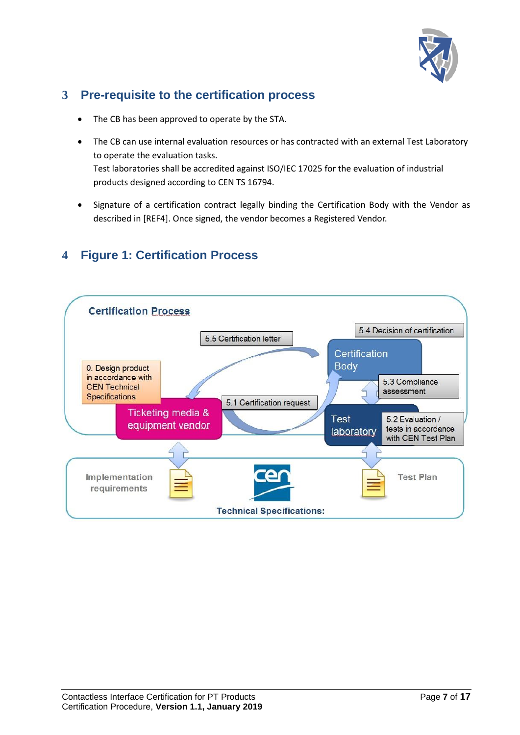

# <span id="page-6-0"></span>**3 Pre-requisite to the certification process**

- The CB has been approved to operate by the STA.
- The CB can use internal evaluation resources or has contracted with an external Test Laboratory to operate the evaluation tasks. Test laboratories shall be accredited against ISO/IEC 17025 for the evaluation of industrial products designed according to CEN TS 16794.
- Signature of a certification contract legally binding the Certification Body with the Vendor as described in [REF4]. Once signed, the vendor becomes a Registered Vendor.



## <span id="page-6-1"></span>**4 Figure 1: Certification Process**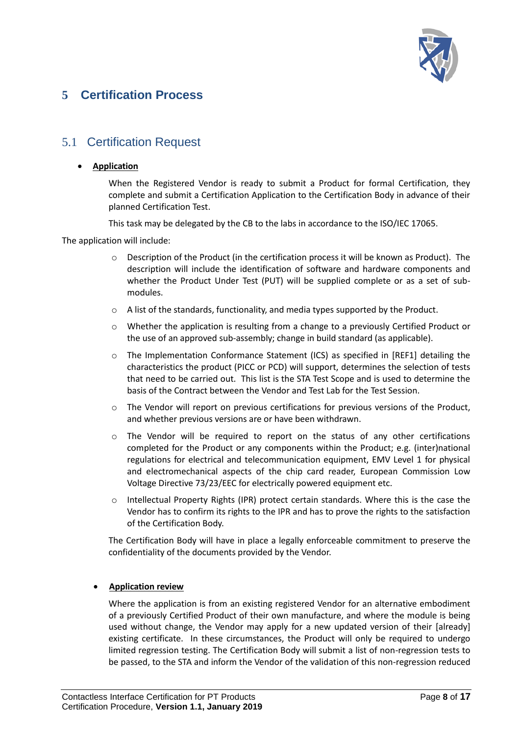

# <span id="page-7-0"></span>**5 Certification Process**

#### <span id="page-7-1"></span>5.1 Certification Request

#### • **Application**

When the Registered Vendor is ready to submit a Product for formal Certification, they complete and submit a Certification Application to the Certification Body in advance of their planned Certification Test.

This task may be delegated by the CB to the labs in accordance to the ISO/IEC 17065.

The application will include:

- $\circ$  Description of the Product (in the certification process it will be known as Product). The description will include the identification of software and hardware components and whether the Product Under Test (PUT) will be supplied complete or as a set of submodules.
- o A list of the standards, functionality, and media types supported by the Product.
- o Whether the application is resulting from a change to a previously Certified Product or the use of an approved sub-assembly; change in build standard (as applicable).
- o The Implementation Conformance Statement (ICS) as specified in [REF1] detailing the characteristics the product (PICC or PCD) will support, determines the selection of tests that need to be carried out. This list is the STA Test Scope and is used to determine the basis of the Contract between the Vendor and Test Lab for the Test Session.
- $\circ$  The Vendor will report on previous certifications for previous versions of the Product, and whether previous versions are or have been withdrawn.
- $\circ$  The Vendor will be required to report on the status of any other certifications completed for the Product or any components within the Product; e.g. (inter)national regulations for electrical and telecommunication equipment, EMV Level 1 for physical and electromechanical aspects of the chip card reader, European Commission Low Voltage Directive 73/23/EEC for electrically powered equipment etc.
- o Intellectual Property Rights (IPR) protect certain standards. Where this is the case the Vendor has to confirm its rights to the IPR and has to prove the rights to the satisfaction of the Certification Body.

The Certification Body will have in place a legally enforceable commitment to preserve the confidentiality of the documents provided by the Vendor.

#### • **Application review**

Where the application is from an existing registered Vendor for an alternative embodiment of a previously Certified Product of their own manufacture, and where the module is being used without change, the Vendor may apply for a new updated version of their [already] existing certificate. In these circumstances, the Product will only be required to undergo limited regression testing. The Certification Body will submit a list of non-regression tests to be passed, to the STA and inform the Vendor of the validation of this non-regression reduced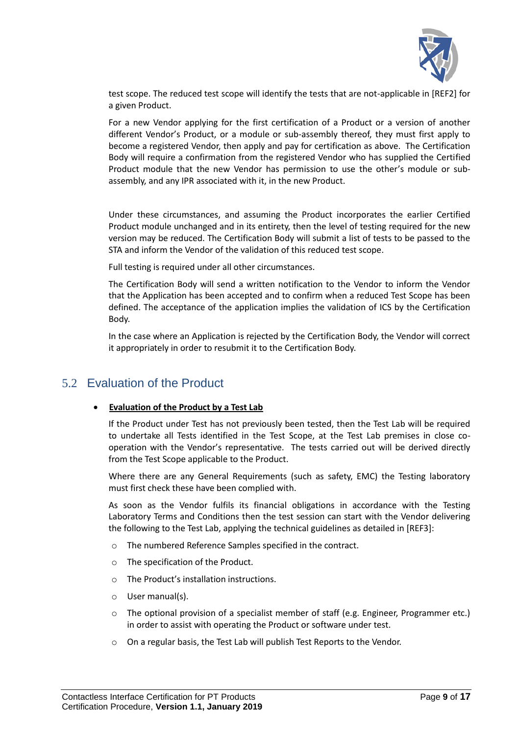

test scope. The reduced test scope will identify the tests that are not-applicable in [REF2] for a given Product.

For a new Vendor applying for the first certification of a Product or a version of another different Vendor's Product, or a module or sub-assembly thereof, they must first apply to become a registered Vendor, then apply and pay for certification as above. The Certification Body will require a confirmation from the registered Vendor who has supplied the Certified Product module that the new Vendor has permission to use the other's module or subassembly, and any IPR associated with it, in the new Product.

Under these circumstances, and assuming the Product incorporates the earlier Certified Product module unchanged and in its entirety, then the level of testing required for the new version may be reduced. The Certification Body will submit a list of tests to be passed to the STA and inform the Vendor of the validation of this reduced test scope.

Full testing is required under all other circumstances.

The Certification Body will send a written notification to the Vendor to inform the Vendor that the Application has been accepted and to confirm when a reduced Test Scope has been defined. The acceptance of the application implies the validation of ICS by the Certification Body.

In the case where an Application is rejected by the Certification Body, the Vendor will correct it appropriately in order to resubmit it to the Certification Body.

#### <span id="page-8-0"></span>5.2 Evaluation of the Product

#### • **Evaluation of the Product by a Test Lab**

If the Product under Test has not previously been tested, then the Test Lab will be required to undertake all Tests identified in the Test Scope, at the Test Lab premises in close cooperation with the Vendor's representative. The tests carried out will be derived directly from the Test Scope applicable to the Product.

Where there are any General Requirements (such as safety, EMC) the Testing laboratory must first check these have been complied with.

As soon as the Vendor fulfils its financial obligations in accordance with the Testing Laboratory Terms and Conditions then the test session can start with the Vendor delivering the following to the Test Lab, applying the technical guidelines as detailed in [REF3]:

- o The numbered Reference Samples specified in the contract.
- o The specification of the Product.
- o The Product's installation instructions.
- o User manual(s).
- o The optional provision of a specialist member of staff (e.g. Engineer, Programmer etc.) in order to assist with operating the Product or software under test.
- o On a regular basis, the Test Lab will publish Test Reports to the Vendor.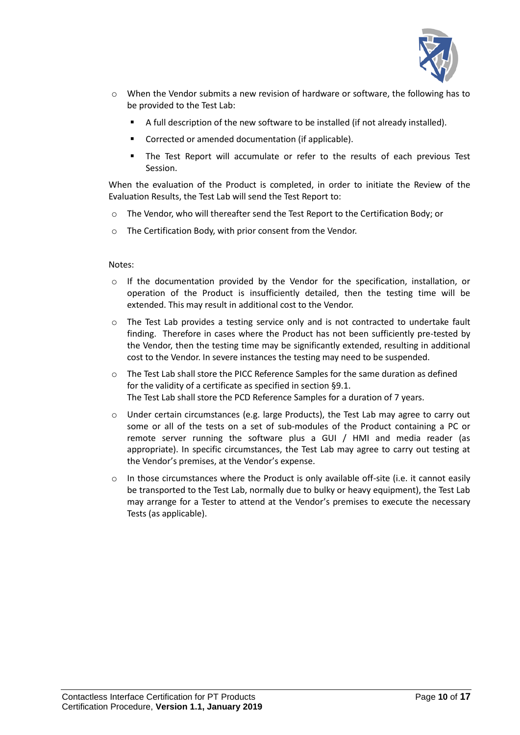

- $\circ$  When the Vendor submits a new revision of hardware or software, the following has to be provided to the Test Lab:
	- A full description of the new software to be installed (if not already installed).
	- Corrected or amended documentation (if applicable).
	- **■** The Test Report will accumulate or refer to the results of each previous Test Session.

When the evaluation of the Product is completed, in order to initiate the Review of the Evaluation Results, the Test Lab will send the Test Report to:

- o The Vendor, who will thereafter send the Test Report to the Certification Body; or
- o The Certification Body, with prior consent from the Vendor.

#### Notes:

- $\circ$  If the documentation provided by the Vendor for the specification, installation, or operation of the Product is insufficiently detailed, then the testing time will be extended. This may result in additional cost to the Vendor.
- $\circ$  The Test Lab provides a testing service only and is not contracted to undertake fault finding. Therefore in cases where the Product has not been sufficiently pre-tested by the Vendor, then the testing time may be significantly extended, resulting in additional cost to the Vendor. In severe instances the testing may need to be suspended.
- o The Test Lab shall store the PICC Reference Samples for the same duration as defined for the validity of a certificate as specified in section [§9.1.](#page-14-1) The Test Lab shall store the PCD Reference Samples for a duration of 7 years.
- o Under certain circumstances (e.g. large Products), the Test Lab may agree to carry out some or all of the tests on a set of sub-modules of the Product containing a PC or remote server running the software plus a GUI / HMI and media reader (as appropriate). In specific circumstances, the Test Lab may agree to carry out testing at the Vendor's premises, at the Vendor's expense.
- o In those circumstances where the Product is only available off-site (i.e. it cannot easily be transported to the Test Lab, normally due to bulky or heavy equipment), the Test Lab may arrange for a Tester to attend at the Vendor's premises to execute the necessary Tests (as applicable).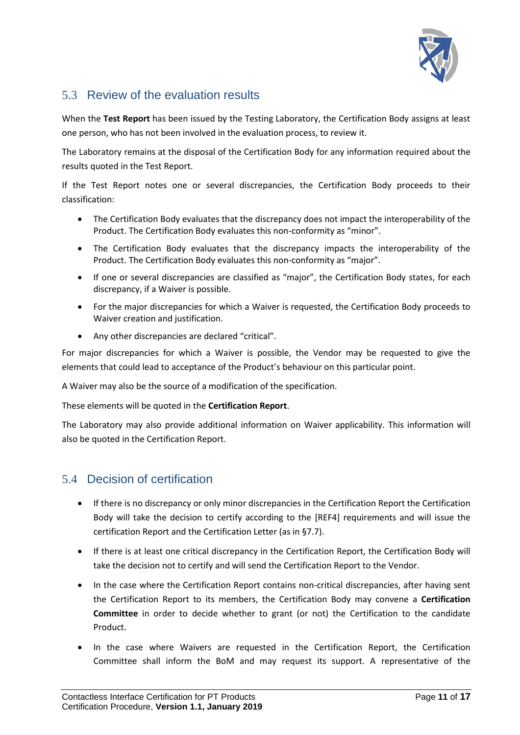

## <span id="page-10-0"></span>5.3 Review of the evaluation results

When the **Test Report** has been issued by the Testing Laboratory, the Certification Body assigns at least one person, who has not been involved in the evaluation process, to review it.

The Laboratory remains at the disposal of the Certification Body for any information required about the results quoted in the Test Report.

If the Test Report notes one or several discrepancies, the Certification Body proceeds to their classification:

- The Certification Body evaluates that the discrepancy does not impact the interoperability of the Product. The Certification Body evaluates this non-conformity as "minor".
- The Certification Body evaluates that the discrepancy impacts the interoperability of the Product. The Certification Body evaluates this non-conformity as "major".
- If one or several discrepancies are classified as "major", the Certification Body states, for each discrepancy, if a Waiver is possible.
- For the major discrepancies for which a Waiver is requested, the Certification Body proceeds to Waiver creation and justification.
- Any other discrepancies are declared "critical".

For major discrepancies for which a Waiver is possible, the Vendor may be requested to give the elements that could lead to acceptance of the Product's behaviour on this particular point.

A Waiver may also be the source of a modification of the specification.

These elements will be quoted in the **Certification Report**.

The Laboratory may also provide additional information on Waiver applicability. This information will also be quoted in the Certification Report.

#### <span id="page-10-1"></span>5.4 Decision of certification

- If there is no discrepancy or only minor discrepancies in the Certification Report the Certification Body will take the decision to certify according to the [REF4] requirements and will issue the certification Report and the Certification Letter (as in §7.7).
- If there is at least one critical discrepancy in the Certification Report, the Certification Body will take the decision not to certify and will send the Certification Report to the Vendor.
- In the case where the Certification Report contains non-critical discrepancies, after having sent the Certification Report to its members, the Certification Body may convene a **Certification Committee** in order to decide whether to grant (or not) the Certification to the candidate Product.
- In the case where Waivers are requested in the Certification Report, the Certification Committee shall inform the BoM and may request its support. A representative of the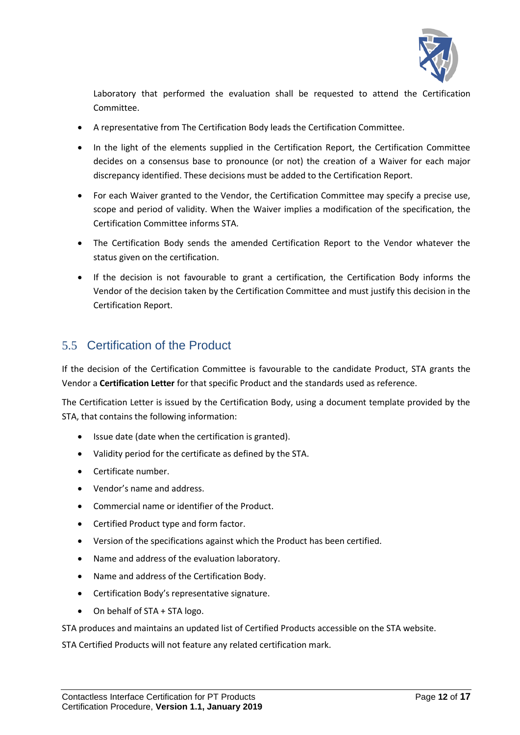

Laboratory that performed the evaluation shall be requested to attend the Certification Committee.

- A representative from The Certification Body leads the Certification Committee.
- In the light of the elements supplied in the Certification Report, the Certification Committee decides on a consensus base to pronounce (or not) the creation of a Waiver for each major discrepancy identified. These decisions must be added to the Certification Report.
- For each Waiver granted to the Vendor, the Certification Committee may specify a precise use, scope and period of validity. When the Waiver implies a modification of the specification, the Certification Committee informs STA.
- The Certification Body sends the amended Certification Report to the Vendor whatever the status given on the certification.
- If the decision is not favourable to grant a certification, the Certification Body informs the Vendor of the decision taken by the Certification Committee and must justify this decision in the Certification Report.

## <span id="page-11-0"></span>5.5 Certification of the Product

If the decision of the Certification Committee is favourable to the candidate Product, STA grants the Vendor a **Certification Letter** for that specific Product and the standards used as reference.

The Certification Letter is issued by the Certification Body, using a document template provided by the STA, that contains the following information:

- Issue date (date when the certification is granted).
- Validity period for the certificate as defined by the STA.
- Certificate number.
- Vendor's name and address.
- Commercial name or identifier of the Product.
- Certified Product type and form factor.
- Version of the specifications against which the Product has been certified.
- Name and address of the evaluation laboratory.
- Name and address of the Certification Body.
- Certification Body's representative signature.
- On behalf of STA + STA logo.

STA produces and maintains an updated list of Certified Products accessible on the STA website.

STA Certified Products will not feature any related certification mark.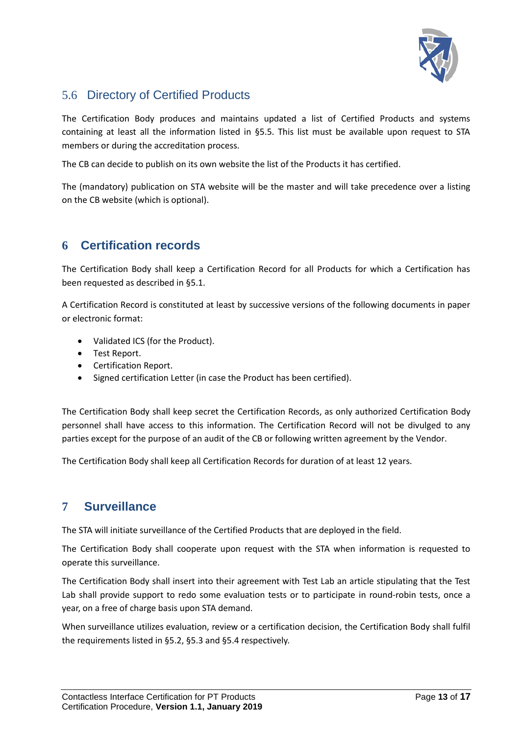

# <span id="page-12-0"></span>5.6 Directory of Certified Products

The Certification Body produces and maintains updated a list of Certified Products and systems containing at least all the information listed in §5.5. This list must be available upon request to STA members or during the accreditation process.

The CB can decide to publish on its own website the list of the Products it has certified.

The (mandatory) publication on STA website will be the master and will take precedence over a listing on the CB website (which is optional).

## <span id="page-12-1"></span>**6 Certification records**

The Certification Body shall keep a Certification Record for all Products for which a Certification has been requested as described in §5.1.

A Certification Record is constituted at least by successive versions of the following documents in paper or electronic format:

- Validated ICS (for the Product).
- Test Report.
- Certification Report.
- Signed certification Letter (in case the Product has been certified).

The Certification Body shall keep secret the Certification Records, as only authorized Certification Body personnel shall have access to this information. The Certification Record will not be divulged to any parties except for the purpose of an audit of the CB or following written agreement by the Vendor.

The Certification Body shall keep all Certification Records for duration of at least 12 years.

#### <span id="page-12-2"></span>**7 Surveillance**

The STA will initiate surveillance of the Certified Products that are deployed in the field.

The Certification Body shall cooperate upon request with the STA when information is requested to operate this surveillance.

The Certification Body shall insert into their agreement with Test Lab an article stipulating that the Test Lab shall provide support to redo some evaluation tests or to participate in round-robin tests, once a year, on a free of charge basis upon STA demand.

When surveillance utilizes evaluation, review or a certification decision, the Certification Body shall fulfil the requirements listed in §5.2, §5.3 and §5.4 respectively.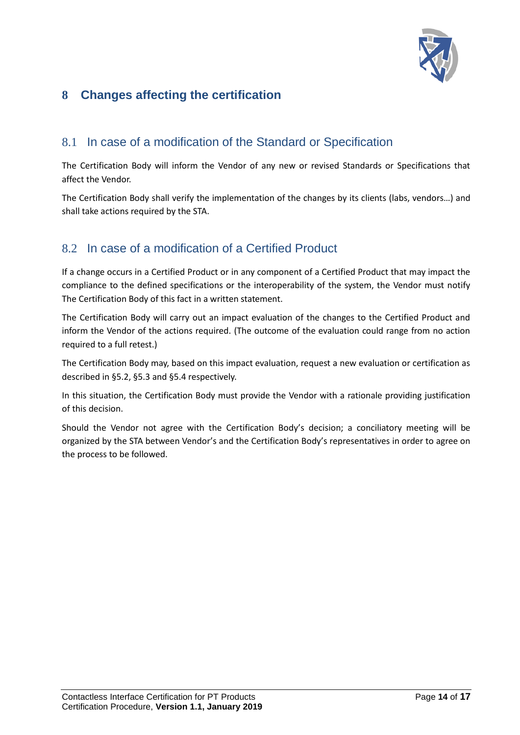

# <span id="page-13-0"></span>**8 Changes affecting the certification**

#### <span id="page-13-1"></span>8.1 In case of a modification of the Standard or Specification

The Certification Body will inform the Vendor of any new or revised Standards or Specifications that affect the Vendor.

The Certification Body shall verify the implementation of the changes by its clients (labs, vendors…) and shall take actions required by the STA.

## <span id="page-13-2"></span>8.2 In case of a modification of a Certified Product

If a change occurs in a Certified Product or in any component of a Certified Product that may impact the compliance to the defined specifications or the interoperability of the system, the Vendor must notify The Certification Body of this fact in a written statement.

The Certification Body will carry out an impact evaluation of the changes to the Certified Product and inform the Vendor of the actions required. (The outcome of the evaluation could range from no action required to a full retest.)

The Certification Body may, based on this impact evaluation, request a new evaluation or certification as described in §5.2, §5.3 and §5.4 respectively.

In this situation, the Certification Body must provide the Vendor with a rationale providing justification of this decision.

Should the Vendor not agree with the Certification Body's decision; a conciliatory meeting will be organized by the STA between Vendor's and the Certification Body's representatives in order to agree on the process to be followed.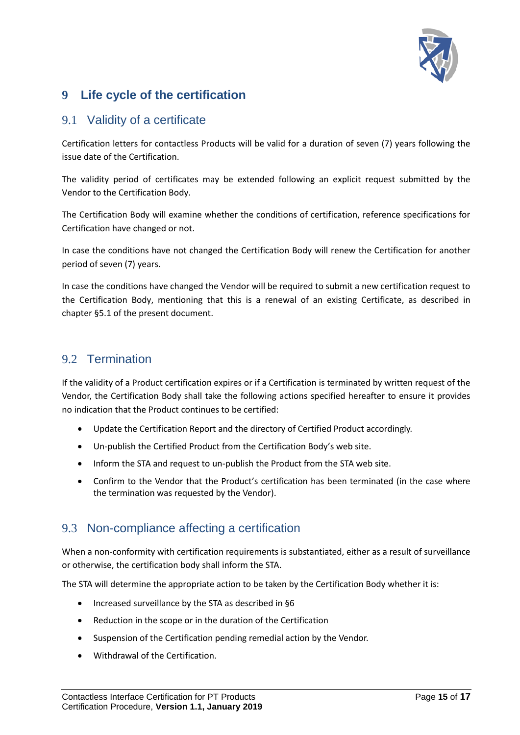

## <span id="page-14-0"></span>**9 Life cycle of the certification**

#### <span id="page-14-1"></span>9.1 Validity of a certificate

Certification letters for contactless Products will be valid for a duration of seven (7) years following the issue date of the Certification.

The validity period of certificates may be extended following an explicit request submitted by the Vendor to the Certification Body.

The Certification Body will examine whether the conditions of certification, reference specifications for Certification have changed or not.

In case the conditions have not changed the Certification Body will renew the Certification for another period of seven (7) years.

In case the conditions have changed the Vendor will be required to submit a new certification request to the Certification Body, mentioning that this is a renewal of an existing Certificate, as described in chapter §5.1 of the present document.

#### <span id="page-14-2"></span>9.2 Termination

If the validity of a Product certification expires or if a Certification is terminated by written request of the Vendor, the Certification Body shall take the following actions specified hereafter to ensure it provides no indication that the Product continues to be certified:

- Update the Certification Report and the directory of Certified Product accordingly.
- Un-publish the Certified Product from the Certification Body's web site.
- Inform the STA and request to un-publish the Product from the STA web site.
- Confirm to the Vendor that the Product's certification has been terminated (in the case where the termination was requested by the Vendor).

#### <span id="page-14-3"></span>9.3 Non-compliance affecting a certification

When a non-conformity with certification requirements is substantiated, either as a result of surveillance or otherwise, the certification body shall inform the STA.

The STA will determine the appropriate action to be taken by the Certification Body whether it is:

- Increased surveillance by the STA as described in §6
- Reduction in the scope or in the duration of the Certification
- Suspension of the Certification pending remedial action by the Vendor.
- Withdrawal of the Certification.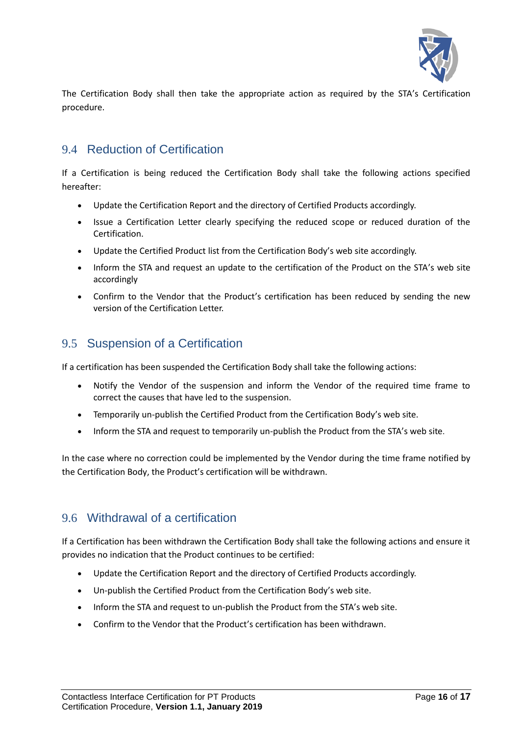

The Certification Body shall then take the appropriate action as required by the STA's Certification procedure.

## <span id="page-15-0"></span>9.4 Reduction of Certification

If a Certification is being reduced the Certification Body shall take the following actions specified hereafter:

- Update the Certification Report and the directory of Certified Products accordingly.
- Issue a Certification Letter clearly specifying the reduced scope or reduced duration of the Certification.
- Update the Certified Product list from the Certification Body's web site accordingly.
- Inform the STA and request an update to the certification of the Product on the STA's web site accordingly
- Confirm to the Vendor that the Product's certification has been reduced by sending the new version of the Certification Letter.

#### <span id="page-15-1"></span>9.5 Suspension of a Certification

If a certification has been suspended the Certification Body shall take the following actions:

- Notify the Vendor of the suspension and inform the Vendor of the required time frame to correct the causes that have led to the suspension.
- Temporarily un-publish the Certified Product from the Certification Body's web site.
- Inform the STA and request to temporarily un-publish the Product from the STA's web site.

In the case where no correction could be implemented by the Vendor during the time frame notified by the Certification Body, the Product's certification will be withdrawn.

#### <span id="page-15-2"></span>9.6 Withdrawal of a certification

If a Certification has been withdrawn the Certification Body shall take the following actions and ensure it provides no indication that the Product continues to be certified:

- Update the Certification Report and the directory of Certified Products accordingly.
- Un-publish the Certified Product from the Certification Body's web site.
- Inform the STA and request to un-publish the Product from the STA's web site.
- Confirm to the Vendor that the Product's certification has been withdrawn.